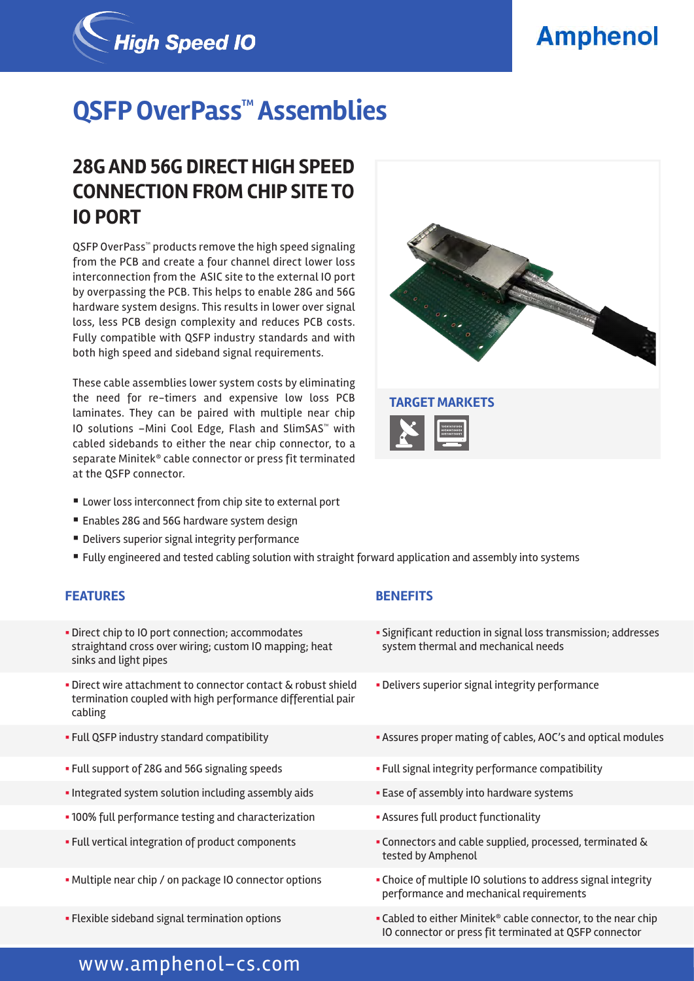# **Amphenol**



# **QSFP OverPass™ Assemblies**

## **28G AND 56G DIRECT HIGH SPEED CONNECTION FROM CHIP SITE TO IO PORT**

QSFP OverPass<sup>™</sup> products remove the high speed signaling from the PCB and create a four channel direct lower loss interconnection from the ASIC site to the external IO port by overpassing the PCB. This helps to enable 28G and 56G hardware system designs. This results in lower over signal loss, less PCB design complexity and reduces PCB costs. Fully compatible with QSFP industry standards and with both high speed and sideband signal requirements.

These cable assemblies lower system costs by eliminating the need for re-timers and expensive low loss PCB laminates. They can be paired with multiple near chip IO solutions –Mini Cool Edge, Flash and SlimSAS™ with cabled sidebands to either the near chip connector, to a separate Minitek® cable connector or press fit terminated at the QSFP connector.



- Lower loss interconnect from chip site to external port
- Enables 28G and 56G hardware system design
- Delivers superior signal integrity performance
- § Fully engineered and tested cabling solution with straight forward application and assembly into systems

### **FEATURES BENEFITS**

- **Direct chip to IO port connection; accommodates** straightand cross over wiring; custom IO mapping; heat sinks and light pipes
- **Direct wire attachment to connector contact & robust shield** termination coupled with high performance differential pair cabling
- 
- 
- Integrated system solution including assembly aids  **Ease of assembly into hardware systems**
- 100% full performance testing and characterization  **Assures full product functionality**
- 
- 
- 

- § Significant reduction in signal loss transmission; addresses system thermal and mechanical needs
- **Delivers superior signal integrity performance**
- Full QSFP industry standard compatibility **Exercise 2** Assures proper mating of cables, AOC's and optical modules
- Full support of 28G and 56G signaling speeds  **Full signal integrity performance compatibility** 
	-
	-
- § Full vertical integration of product components § Connectors and cable supplied, processed, terminated & tested by Amphenol
- Multiple near chip / on package IO connector options **•** Choice of multiple IO solutions to address signal integrity performance and mechanical requirements
- Flexible sideband signal termination options  **Cabled to either Minitek® cable connector**, to the near chip IO connector or press fit terminated at QSFP connector

## www.amphenol-cs.com